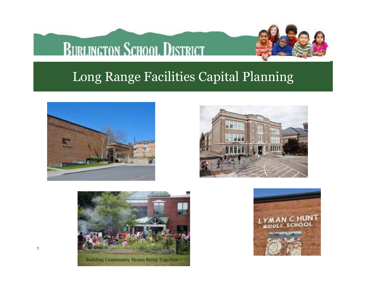## **BURLINGTON SCHOOL DISTRICT**



### Long Range Facilities Capital Planning



1





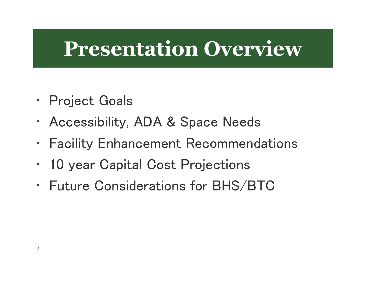## **Presentation Overview**

- Project Goals
- Accessibility, ADA & Space Needs
- •Facility Enhancement Recommendations
- 10 year Capital Cost Projections
- Future Considerations for BHS/BTC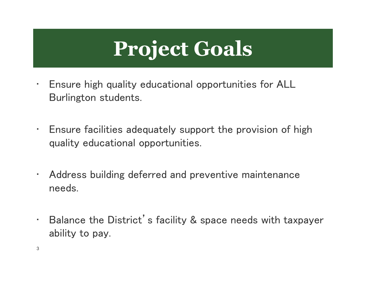# **Project Goals**

- • Ensure high quality educational opportunities for ALL Burlington students.
- • Ensure facilities adequately support the provision of high quality educational opportunities.
- • Address building deferred and preventive maintenance needs.
- • Balance the District's facility & space needs with taxpayer ability to pay.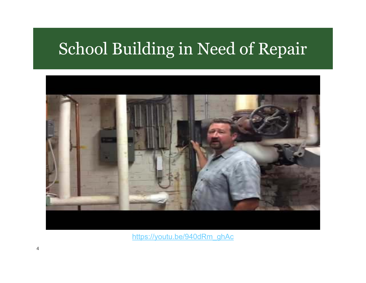## School Building in Need of Repair



https://youtu.be/940dRm\_ghAc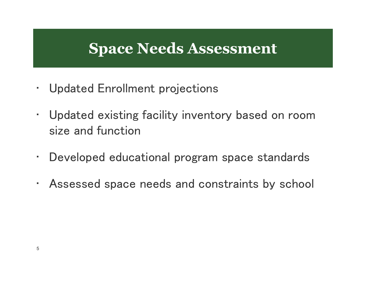### **Space Needs Assessment**

- Updated Enrollment projections
- Updated existing facility inventory based on room size and function
- •Developed educational program space standards
- Assessed space needs and constraints by school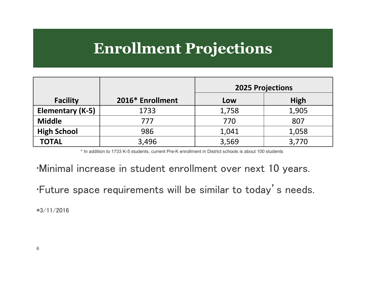### **Enrollment Projections**

|                    |                  | <b>2025 Projections</b> |             |
|--------------------|------------------|-------------------------|-------------|
| <b>Facility</b>    | 2016* Enrollment | Low                     | <b>High</b> |
| Elementary (K-5)   | 1733             | 1,758                   | 1,905       |
| <b>Middle</b>      | 777              | 770                     | 807         |
| <b>High School</b> | 986              | 1,041                   | 1,058       |
| <b>TOTAL</b>       | 3,496            | 3,569                   | 3,770       |

\* In addition to 1733 K-5 students, current Pre-K enrollment in District schools is about 100 students

•Minimal increase in student enrollment over next 10 years.

•Future space requirements will be similar to today's needs.

\*3/11/2016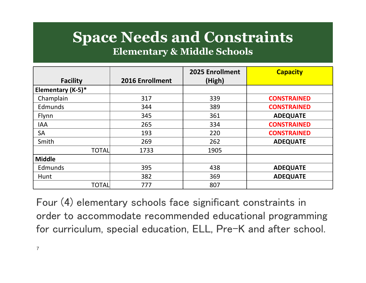## **Space Needs and Constraints**

#### **Elementary & Middle Schools**

|                   |                 | 2025 Enrollment | <b>Capacity</b>    |
|-------------------|-----------------|-----------------|--------------------|
| <b>Facility</b>   | 2016 Enrollment | (High)          |                    |
| Elementary (K-5)* |                 |                 |                    |
| Champlain         | 317             | 339             | <b>CONSTRAINED</b> |
| Edmunds           | 344             | 389             | <b>CONSTRAINED</b> |
| Flynn             | 345             | 361             | <b>ADEQUATE</b>    |
| <b>IAA</b>        | 265             | 334             | <b>CONSTRAINED</b> |
| <b>SA</b>         | 193             | 220             | <b>CONSTRAINED</b> |
| Smith             | 269             | 262             | <b>ADEQUATE</b>    |
| <b>TOTAL</b>      | 1733            | 1905            |                    |
| <b>Middle</b>     |                 |                 |                    |
| Edmunds           | 395             | 438             | <b>ADEQUATE</b>    |
| Hunt              | 382             | 369             | <b>ADEQUATE</b>    |
| <b>TOTAL</b>      | 777             | 807             |                    |

Four (4) elementary schools face significant constraints in order to accommodate recommended educational programming for curriculum, special education, ELL, Pre-K and after school.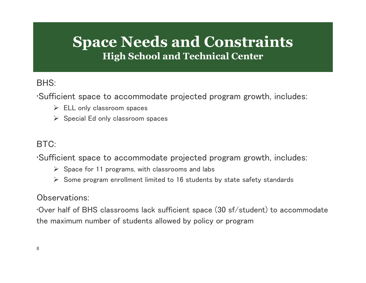#### **Space Needs and ConstraintsHigh School and Technical Center**

#### BHS:

•Sufficient space to accommodate projected program growth, includes:

- ELL only classroom spaces
- $\triangleright$  Special Ed only classroom spaces

#### BTC:

•Sufficient space to accommodate projected program growth, includes:

- $\triangleright$  Space for 11 programs, with classrooms and labs
- Some program enrollment limited to 16 students by state safety standards

#### Observations:

•Over half of BHS classrooms lack sufficient space (30 sf/student) to accommodate the maximum number of students allowed by policy or program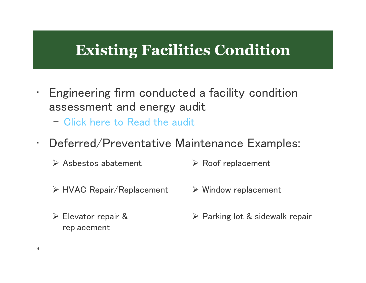### **Existing Facilities Condition**

- Engineering firm conducted a facility condition assessment and energy audit
	- Click here to Read the audit
- Deferred/Preventative Maintenance Examples:
	- Asbestos abatement **EXEC** Roof replacement
	- ≻ HVAC Repair/Replacement → Window replacement
- 

Elevator repair & replacement

▶ Parking lot & sidewalk repair

•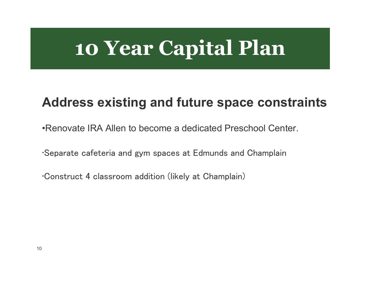# **10 Year Capital Plan**

#### **Address existing and future space constraints**

•Renovate IRA Allen to become a dedicated Preschool Center.

•Separate cafeteria and gym spaces at Edmunds and Champlain

•Construct 4 classroom addition (likely at Champlain)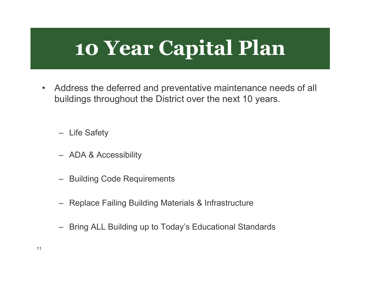# **10 Year Capital Plan**

• Address the deferred and preventative maintenance needs of all buildings throughout the District over the next 10 years.

– Life Safety

- ADA & Accessibility
- Building Code Requirements
- Replace Failing Building Materials & Infrastructur e
- Bring ALL Building up to Today's Educational Standards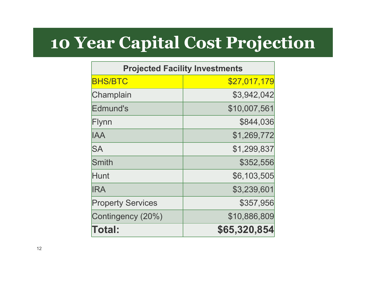## **10 Year Capital Cost Projection**

| <b>Projected Facility Investments</b> |              |  |
|---------------------------------------|--------------|--|
| <b>BHS/BTC</b>                        | \$27,017,179 |  |
| Champlain                             | \$3,942,042  |  |
| Edmund's                              | \$10,007,561 |  |
| Flynn                                 | \$844,036    |  |
| <b>IAA</b>                            | \$1,269,772  |  |
| <b>SA</b>                             | \$1,299,837  |  |
| Smith                                 | \$352,556    |  |
| Hunt                                  | \$6,103,505  |  |
| <b>IRA</b>                            | \$3,239,601  |  |
| <b>Property Services</b>              | \$357,956    |  |
| Contingency (20%)                     | \$10,886,809 |  |
| <b>Total:</b>                         | \$65,320,854 |  |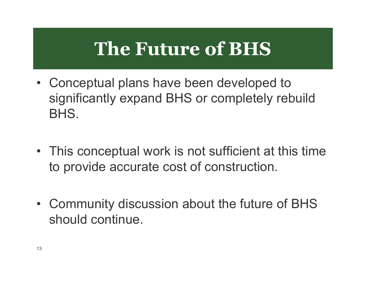## **The Future of BHS**

- Conceptual plans have been developed to<br>cianificantly avasand PUG as completely reb significantly expand BHS or completely rebuild BHS.
- This conceptual work is not sufficient at this time to provide accurate cost of construction.
- Community discussion about the future of BHS should continue.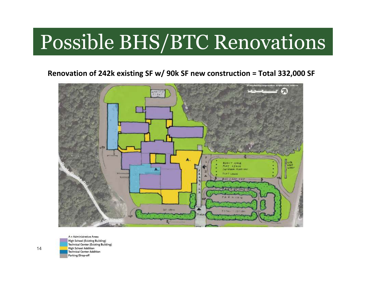# Possible BHS/BTC Renovations

**Renovation of 242k existing SF w/ 90k SF new construction = Total 332,000 SF**



A = Administrative Areas High School (Existing Building) Technical Center (Existing Building) **High School Addition** Technical Center Addition Parking/Drop-off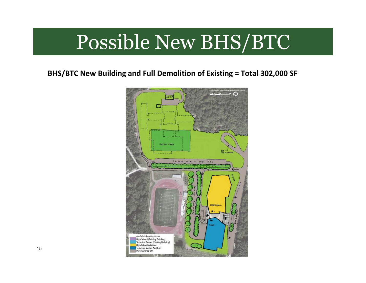## Possible New BHS/BTC

**BHS/BTC New Building and Full Demolition of Existing = Total 302,000 SF**

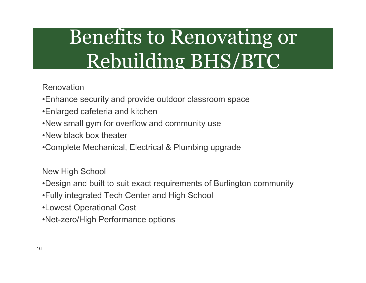# Benefits to Renovating or Rebuilding BHS/BTC

#### Renovation

- •Enhance security and provide outdoor classroom space
- •Enlarged cafeteria and kitchen
- •New small gym for overflow and community use
- •New black box theater
- •Complete Mechanical, Electrical & Plumbing upgrade

New High School

- •Design and built to suit exact requirements of Burlington community
- •Fully integrated Tech Center and High School
- •Lowest Operational Cost
- •Net-zero/High Performance options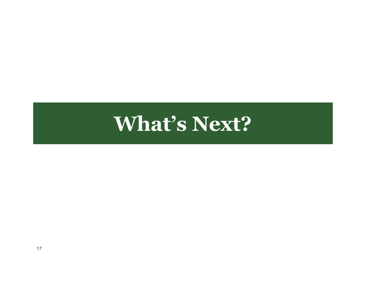## **What's Next?**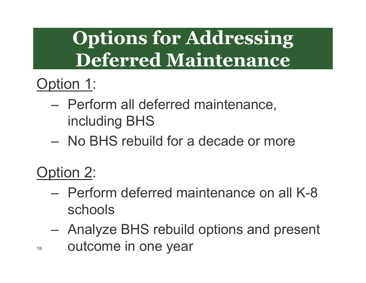# **Options for Addressing Deferred Maintenance**

## Option 1:

- Perform all deferred maintenance, including BHS
- No BHS rebuild for a decade or more

### Option 2:

18

- Perform deferred maintenance on all K-8 schools
- Analyze BHS rebuild options and present outcome in one year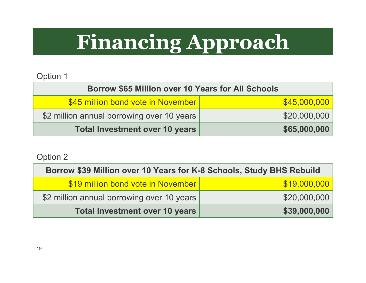# **Financing Approach**

#### Option 1

| Borrow \$65 Million over 10 Years for All Schools |              |  |  |
|---------------------------------------------------|--------------|--|--|
| \$45 million bond vote in November                | \$45,000,000 |  |  |
| \$2 million annual borrowing over 10 years        | \$20,000,000 |  |  |
| Total Investment over 10 years                    | \$65,000,000 |  |  |

Option 2

| Borrow \$39 Million over 10 Years for K-8 Schools, Study BHS Rebuild |              |  |
|----------------------------------------------------------------------|--------------|--|
| \$19 million bond vote in November                                   | \$19,000,000 |  |
| \$2 million annual borrowing over 10 years                           | \$20,000,000 |  |
| <b>Total Investment over 10 years</b>                                | \$39,000,000 |  |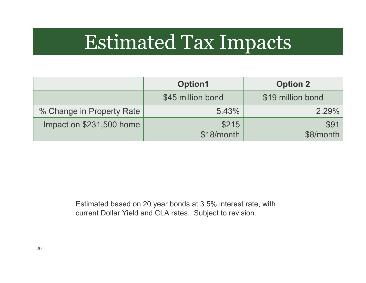## Estimated Tax Impacts

|                           | <b>Option1</b>    | <b>Option 2</b>   |
|---------------------------|-------------------|-------------------|
|                           | \$45 million bond | \$19 million bond |
| % Change in Property Rate | 5.43%             | 2.29%             |
| Impact on \$231,500 home  | \$215             | \$91              |
|                           | \$18/month        | \$8/month         |

Estimated based on 20 year bonds at 3.5% interest rate, with current Dollar Yield and CLA rates. Subject to revision.